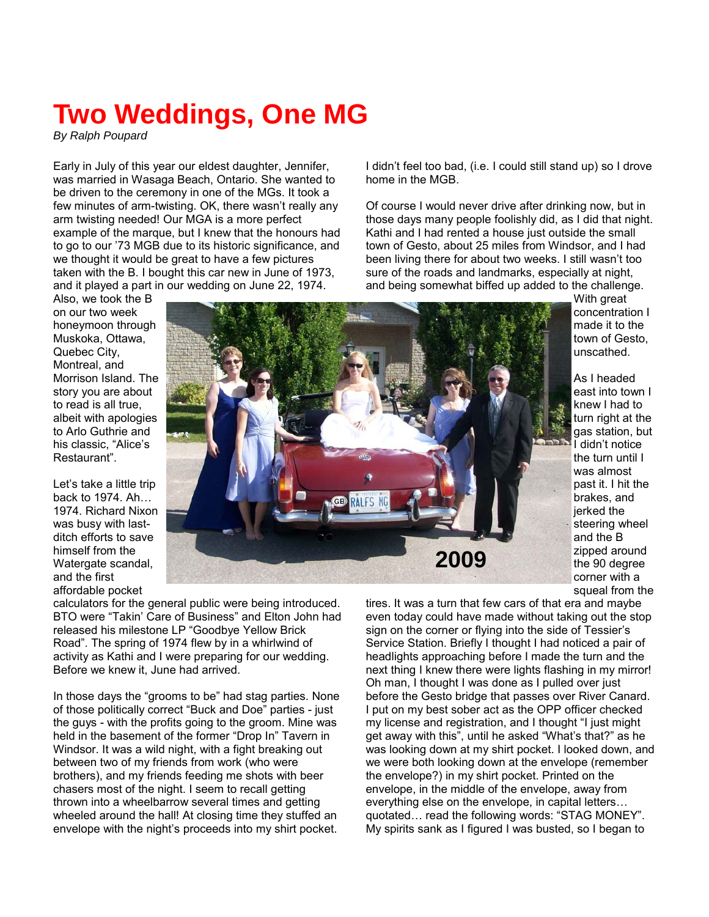## **Two Weddings, One MG**

*By Ralph Poupard* 

Early in July of this year our eldest daughter, Jennifer, was married in Wasaga Beach, Ontario. She wanted to be driven to the ceremony in one of the MGs. It took a few minutes of arm-twisting. OK, there wasn't really any arm twisting needed! Our MGA is a more perfect example of the marque, but I knew that the honours had to go to our '73 MGB due to its historic significance, and we thought it would be great to have a few pictures taken with the B. I bought this car new in June of 1973, and it played a part in our wedding on June 22, 1974.

Also, we took the B on our two week honeymoon through Muskoka, Ottawa, Quebec City, Montreal, and Morrison Island. The story you are about to read is all true, albeit with apologies to Arlo Guthrie and his classic, "Alice's Restaurant".

Let's take a little trip back to 1974. Ah… 1974. Richard Nixon was busy with lastditch efforts to save himself from the Watergate scandal, and the first affordable pocket

I didn't feel too bad, (i.e. I could still stand up) so I drove home in the MGB.

Of course I would never drive after drinking now, but in those days many people foolishly did, as I did that night. Kathi and I had rented a house just outside the small town of Gesto, about 25 miles from Windsor, and I had been living there for about two weeks. I still wasn't too sure of the roads and landmarks, especially at night, and being somewhat biffed up added to the challenge.



With great concentration I made it to the town of Gesto, unscathed.

As I headed east into town I knew I had to turn right at the gas station, but I didn't notice the turn until I was almost past it. I hit the brakes, and jerked the steering wheel and the B zipped around the 90 degree corner with a squeal from the

calculators for the general public were being introduced. BTO were "Takin' Care of Business" and Elton John had released his milestone LP "Goodbye Yellow Brick Road". The spring of 1974 flew by in a whirlwind of activity as Kathi and I were preparing for our wedding. Before we knew it, June had arrived.

In those days the "grooms to be" had stag parties. None of those politically correct "Buck and Doe" parties - just the guys - with the profits going to the groom. Mine was held in the basement of the former "Drop In" Tavern in Windsor. It was a wild night, with a fight breaking out between two of my friends from work (who were brothers), and my friends feeding me shots with beer chasers most of the night. I seem to recall getting thrown into a wheelbarrow several times and getting wheeled around the hall! At closing time they stuffed an envelope with the night's proceeds into my shirt pocket.

tires. It was a turn that few cars of that era and maybe even today could have made without taking out the stop sign on the corner or flying into the side of Tessier's Service Station. Briefly I thought I had noticed a pair of headlights approaching before I made the turn and the next thing I knew there were lights flashing in my mirror! Oh man, I thought I was done as I pulled over just before the Gesto bridge that passes over River Canard. I put on my best sober act as the OPP officer checked my license and registration, and I thought "I just might get away with this", until he asked "What's that?" as he was looking down at my shirt pocket. I looked down, and we were both looking down at the envelope (remember the envelope?) in my shirt pocket. Printed on the envelope, in the middle of the envelope, away from everything else on the envelope, in capital letters… quotated… read the following words: "STAG MONEY". My spirits sank as I figured I was busted, so I began to